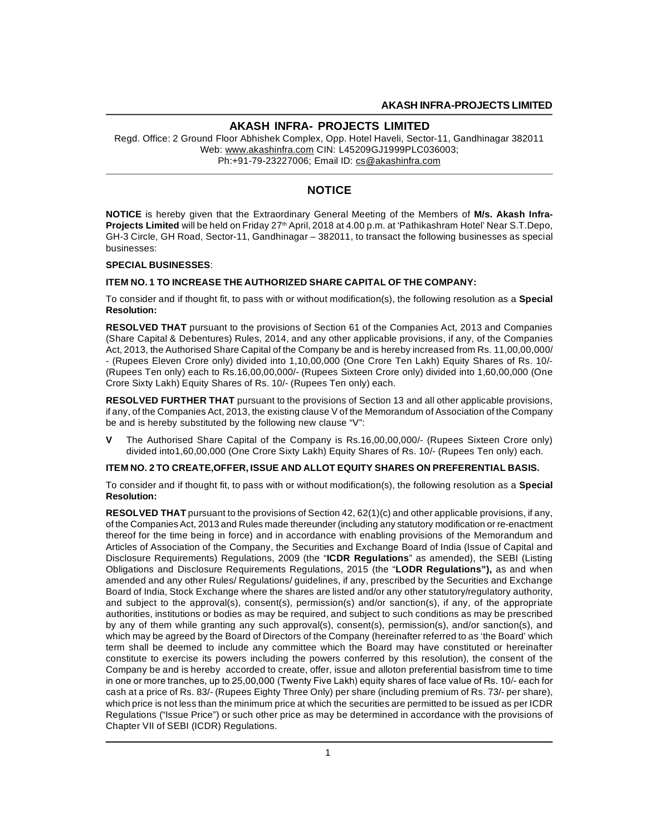Regd. Office: 2 Ground Floor Abhishek Complex, Opp. Hotel Haveli, Sector-11, Gandhinagar 382011 Web: www.akashinfra.com CIN: L45209GJ1999PLC036003; Ph:+91-79-23227006; Email ID: cs@akashinfra.com

# **NOTICE**

**NOTICE** is hereby given that the Extraordinary General Meeting of the Members of **M/s. Akash Infra-Projects Limited** will be held on Friday 27<sup>th</sup> April, 2018 at 4.00 p.m. at 'Pathikashram Hotel' Near S.T.Depo, GH-3 Circle, GH Road, Sector-11, Gandhinagar – 382011, to transact the following businesses as special businesses:

#### **SPECIAL BUSINESSES**:

#### **ITEM NO. 1 TO INCREASE THE AUTHORIZED SHARE CAPITAL OF THE COMPANY:**

To consider and if thought fit, to pass with or without modification(s), the following resolution as a **Special Resolution:**

**RESOLVED THAT** pursuant to the provisions of Section 61 of the Companies Act, 2013 and Companies (Share Capital & Debentures) Rules, 2014, and any other applicable provisions, if any, of the Companies Act, 2013, the Authorised Share Capital of the Company be and is hereby increased from Rs. 11,00,00,000/ - (Rupees Eleven Crore only) divided into 1,10,00,000 (One Crore Ten Lakh) Equity Shares of Rs. 10/- (Rupees Ten only) each to Rs.16,00,00,000/- (Rupees Sixteen Crore only) divided into 1,60,00,000 (One Crore Sixty Lakh) Equity Shares of Rs. 10/- (Rupees Ten only) each.

**RESOLVED FURTHER THAT** pursuant to the provisions of Section 13 and all other applicable provisions, if any, of the Companies Act, 2013, the existing clause V of the Memorandum of Association of the Company be and is hereby substituted by the following new clause "V":

**V** The Authorised Share Capital of the Company is Rs.16,00,00,000/- (Rupees Sixteen Crore only) divided into1,60,00,000 (One Crore Sixty Lakh) Equity Shares of Rs. 10/- (Rupees Ten only) each.

#### **ITEM NO. 2 TO CREATE,OFFER, ISSUE AND ALLOT EQUITY SHARES ON PREFERENTIAL BASIS.**

To consider and if thought fit, to pass with or without modification(s), the following resolution as a **Special Resolution:**

**RESOLVED THAT** pursuant to the provisions of Section 42, 62(1)(c) and other applicable provisions, if any, of the Companies Act, 2013 and Rules made thereunder (including any statutory modification or re-enactment thereof for the time being in force) and in accordance with enabling provisions of the Memorandum and Articles of Association of the Company, the Securities and Exchange Board of India (Issue of Capital and Disclosure Requirements) Regulations, 2009 (the "**ICDR Regulations**" as amended), the SEBI (Listing Obligations and Disclosure Requirements Regulations, 2015 (the "**LODR Regulations"),** as and when amended and any other Rules/ Regulations/ guidelines, if any, prescribed by the Securities and Exchange Board of India, Stock Exchange where the shares are listed and/or any other statutory/regulatory authority, and subject to the approval(s), consent(s), permission(s) and/or sanction(s), if any, of the appropriate authorities, institutions or bodies as may be required, and subject to such conditions as may be prescribed by any of them while granting any such approval(s), consent(s), permission(s), and/or sanction(s), and which may be agreed by the Board of Directors of the Company (hereinafter referred to as 'the Board' which term shall be deemed to include any committee which the Board may have constituted or hereinafter constitute to exercise its powers including the powers conferred by this resolution), the consent of the Company be and is hereby accorded to create, offer, issue and alloton preferential basisfrom time to time in one or more tranches, up to 25,00,000 (Twenty Five Lakh) equity shares of face value of Rs. 10/- each for cash at a price of Rs. 83/- (Rupees Eighty Three Only) per share (including premium of Rs. 73/- per share), which price is not less than the minimum price at which the securities are permitted to be issued as per ICDR Regulations ("Issue Price") or such other price as may be determined in accordance with the provisions of Chapter VII of SEBI (ICDR) Regulations.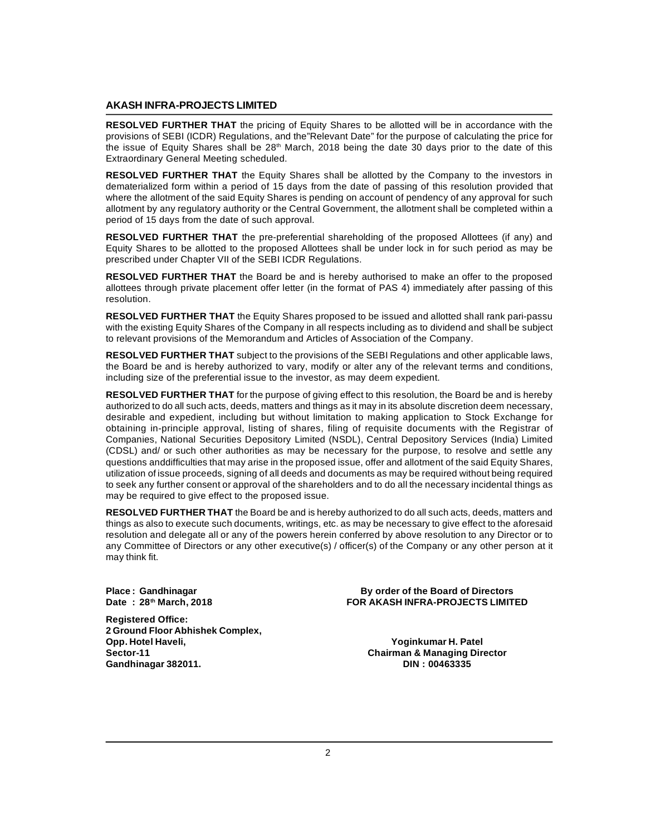**RESOLVED FURTHER THAT** the pricing of Equity Shares to be allotted will be in accordance with the provisions of SEBI (ICDR) Regulations, and the"Relevant Date" for the purpose of calculating the price for the issue of Equity Shares shall be 28<sup>th</sup> March, 2018 being the date 30 days prior to the date of this Extraordinary General Meeting scheduled.

**RESOLVED FURTHER THAT** the Equity Shares shall be allotted by the Company to the investors in dematerialized form within a period of 15 days from the date of passing of this resolution provided that where the allotment of the said Equity Shares is pending on account of pendency of any approval for such allotment by any regulatory authority or the Central Government, the allotment shall be completed within a period of 15 days from the date of such approval.

**RESOLVED FURTHER THAT** the pre-preferential shareholding of the proposed Allottees (if any) and Equity Shares to be allotted to the proposed Allottees shall be under lock in for such period as may be prescribed under Chapter VII of the SEBI ICDR Regulations.

**RESOLVED FURTHER THAT** the Board be and is hereby authorised to make an offer to the proposed allottees through private placement offer letter (in the format of PAS 4) immediately after passing of this resolution.

**RESOLVED FURTHER THAT** the Equity Shares proposed to be issued and allotted shall rank pari-passu with the existing Equity Shares of the Company in all respects including as to dividend and shall be subject to relevant provisions of the Memorandum and Articles of Association of the Company.

**RESOLVED FURTHER THAT** subject to the provisions of the SEBI Regulations and other applicable laws, the Board be and is hereby authorized to vary, modify or alter any of the relevant terms and conditions, including size of the preferential issue to the investor, as may deem expedient.

**RESOLVED FURTHER THAT** for the purpose of giving effect to this resolution, the Board be and is hereby authorized to do all such acts, deeds, matters and things as it may in its absolute discretion deem necessary, desirable and expedient, including but without limitation to making application to Stock Exchange for obtaining in-principle approval, listing of shares, filing of requisite documents with the Registrar of Companies, National Securities Depository Limited (NSDL), Central Depository Services (India) Limited (CDSL) and/ or such other authorities as may be necessary for the purpose, to resolve and settle any questions anddifficulties that may arise in the proposed issue, offer and allotment of the said Equity Shares, utilization of issue proceeds, signing of all deeds and documents as may be required without being required to seek any further consent or approval of the shareholders and to do all the necessary incidental things as may be required to give effect to the proposed issue.

**RESOLVED FURTHER THAT** the Board be and is hereby authorized to do all such acts, deeds, matters and things as also to execute such documents, writings, etc. as may be necessary to give effect to the aforesaid resolution and delegate all or any of the powers herein conferred by above resolution to any Director or to any Committee of Directors or any other executive(s) / officer(s) of the Company or any other person at it may think fit.

**Registered Office: 2 Ground Floor Abhishek Complex, Opp. Hotel Haveli, Yoginkumar H. Patel**  $Gandhinagar 382011.$ 

**Place : Gandhinagar By order of the Board of Directors Date : 28th March, 2018 FOR AKASH INFRA-PROJECTS LIMITED**

**Sector-11 Chairman & Managing Director**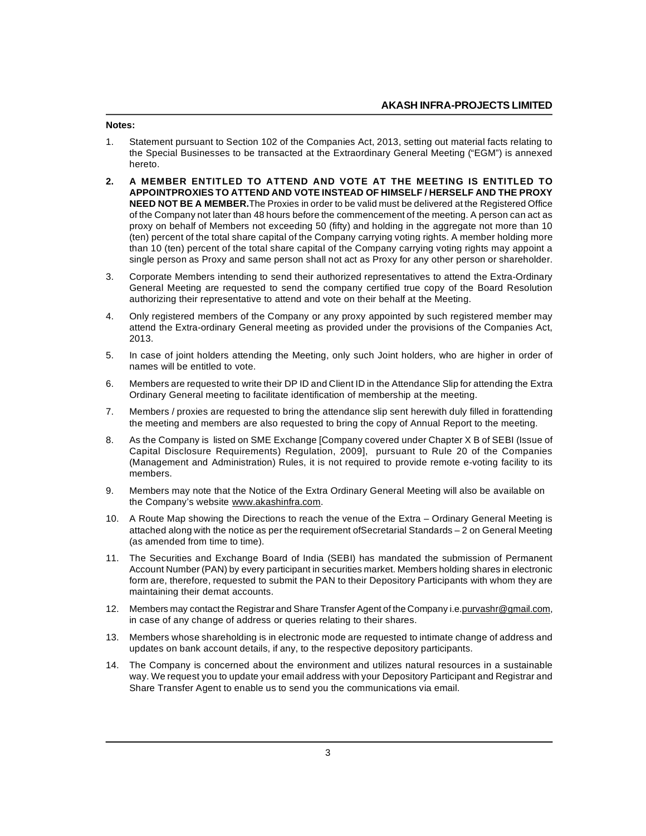#### **Notes:**

- 1. Statement pursuant to Section 102 of the Companies Act, 2013, setting out material facts relating to the Special Businesses to be transacted at the Extraordinary General Meeting ("EGM") is annexed hereto.
- **2. A MEMBER ENTITLED TO ATTEND AND VOTE AT THE MEETING IS ENTITLED TO APPOINTPROXIES TO ATTEND AND VOTE INSTEAD OF HIMSELF / HERSELF AND THE PROXY NEED NOT BE A MEMBER.**The Proxies in order to be valid must be delivered at the Registered Office of the Company not later than 48 hours before the commencement of the meeting. A person can act as proxy on behalf of Members not exceeding 50 (fifty) and holding in the aggregate not more than 10 (ten) percent of the total share capital of the Company carrying voting rights. A member holding more than 10 (ten) percent of the total share capital of the Company carrying voting rights may appoint a single person as Proxy and same person shall not act as Proxy for any other person or shareholder.
- 3. Corporate Members intending to send their authorized representatives to attend the Extra-Ordinary General Meeting are requested to send the company certified true copy of the Board Resolution authorizing their representative to attend and vote on their behalf at the Meeting.
- 4. Only registered members of the Company or any proxy appointed by such registered member may attend the Extra-ordinary General meeting as provided under the provisions of the Companies Act, 2013.
- 5. In case of joint holders attending the Meeting, only such Joint holders, who are higher in order of names will be entitled to vote.
- 6. Members are requested to write their DP ID and Client ID in the Attendance Slip for attending the Extra Ordinary General meeting to facilitate identification of membership at the meeting.
- 7. Members / proxies are requested to bring the attendance slip sent herewith duly filled in forattending the meeting and members are also requested to bring the copy of Annual Report to the meeting.
- 8. As the Company is listed on SME Exchange [Company covered under Chapter X B of SEBI (Issue of Capital Disclosure Requirements) Regulation, 2009], pursuant to Rule 20 of the Companies (Management and Administration) Rules, it is not required to provide remote e-voting facility to its members.
- 9. Members may note that the Notice of the Extra Ordinary General Meeting will also be available on the Company's website www.akashinfra.com.
- 10. A Route Map showing the Directions to reach the venue of the Extra Ordinary General Meeting is attached along with the notice as per the requirement ofSecretarial Standards – 2 on General Meeting (as amended from time to time).
- 11. The Securities and Exchange Board of India (SEBI) has mandated the submission of Permanent Account Number (PAN) by every participant in securities market. Members holding shares in electronic form are, therefore, requested to submit the PAN to their Depository Participants with whom they are maintaining their demat accounts.
- 12. Members may contact the Registrar and Share Transfer Agent of the Company i.e. purvashr@gmail.com, in case of any change of address or queries relating to their shares.
- 13. Members whose shareholding is in electronic mode are requested to intimate change of address and updates on bank account details, if any, to the respective depository participants.
- 14. The Company is concerned about the environment and utilizes natural resources in a sustainable way. We request you to update your email address with your Depository Participant and Registrar and Share Transfer Agent to enable us to send you the communications via email.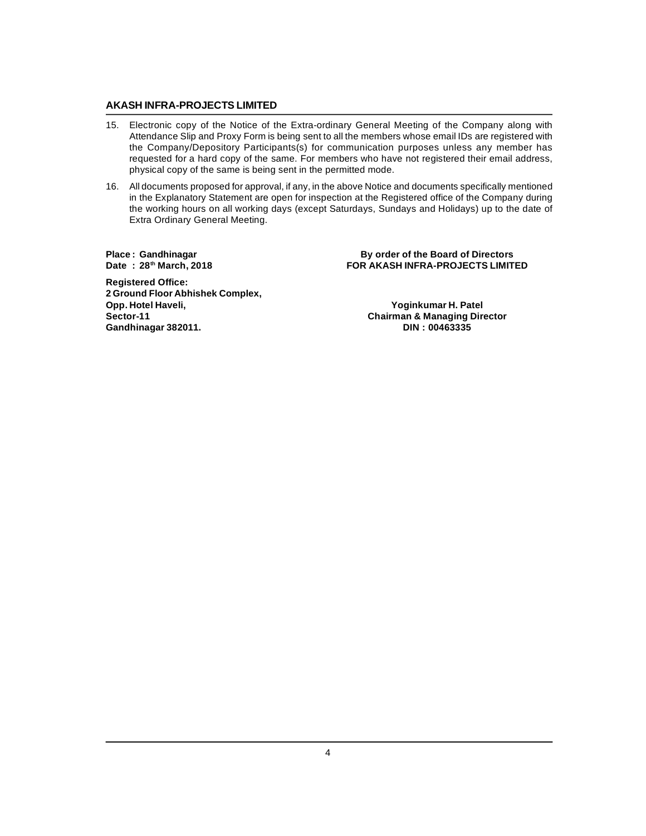- 15. Electronic copy of the Notice of the Extra-ordinary General Meeting of the Company along with Attendance Slip and Proxy Form is being sent to all the members whose email IDs are registered with the Company/Depository Participants(s) for communication purposes unless any member has requested for a hard copy of the same. For members who have not registered their email address, physical copy of the same is being sent in the permitted mode.
- 16. All documents proposed for approval, if any, in the above Notice and documents specifically mentioned in the Explanatory Statement are open for inspection at the Registered office of the Company during the working hours on all working days (except Saturdays, Sundays and Holidays) up to the date of Extra Ordinary General Meeting.

**Place : Gandhinagar By order of the Board of Directors**  $POR AKASH INFRA-PROJECTS LIMITED$ 

**Registered Office: 2 Ground Floor Abhishek Complex, Opp. Hotel Haveli, Yoginkumar H. Patel**  $Gandhinagar 382011.$ 

**Sector-11 Chairman & Managing Director**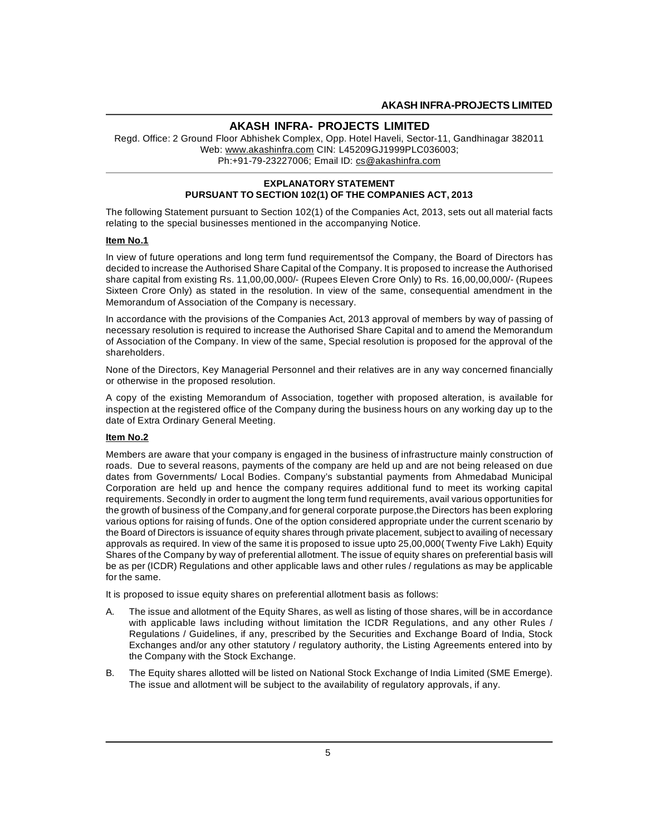Regd. Office: 2 Ground Floor Abhishek Complex, Opp. Hotel Haveli, Sector-11, Gandhinagar 382011 Web: www.akashinfra.com CIN: L45209GJ1999PLC036003; Ph:+91-79-23227006; Email ID: cs@akashinfra.com

## **EXPLANATORY STATEMENT PURSUANT TO SECTION 102(1) OF THE COMPANIES ACT, 2013**

The following Statement pursuant to Section 102(1) of the Companies Act, 2013, sets out all material facts relating to the special businesses mentioned in the accompanying Notice.

#### **Item No.1**

In view of future operations and long term fund requirementsof the Company, the Board of Directors has decided to increase the Authorised Share Capital of the Company. It is proposed to increase the Authorised share capital from existing Rs. 11,00,00,000/- (Rupees Eleven Crore Only) to Rs. 16,00,00,000/- (Rupees Sixteen Crore Only) as stated in the resolution. In view of the same, consequential amendment in the Memorandum of Association of the Company is necessary.

In accordance with the provisions of the Companies Act, 2013 approval of members by way of passing of necessary resolution is required to increase the Authorised Share Capital and to amend the Memorandum of Association of the Company. In view of the same, Special resolution is proposed for the approval of the shareholders.

None of the Directors, Key Managerial Personnel and their relatives are in any way concerned financially or otherwise in the proposed resolution.

A copy of the existing Memorandum of Association, together with proposed alteration, is available for inspection at the registered office of the Company during the business hours on any working day up to the date of Extra Ordinary General Meeting.

## **Item No.2**

Members are aware that your company is engaged in the business of infrastructure mainly construction of roads. Due to several reasons, payments of the company are held up and are not being released on due dates from Governments/ Local Bodies. Company's substantial payments from Ahmedabad Municipal Corporation are held up and hence the company requires additional fund to meet its working capital requirements. Secondly in order to augment the long term fund requirements, avail various opportunities for the growth of business of the Company,and for general corporate purpose,the Directors has been exploring various options for raising of funds. One of the option considered appropriate under the current scenario by the Board of Directors is issuance of equity shares through private placement, subject to availing of necessary approvals as required. In view of the same it is proposed to issue upto 25,00,000( Twenty Five Lakh) Equity Shares of the Company by way of preferential allotment. The issue of equity shares on preferential basis will be as per (ICDR) Regulations and other applicable laws and other rules / regulations as may be applicable for the same.

It is proposed to issue equity shares on preferential allotment basis as follows:

- A. The issue and allotment of the Equity Shares, as well as listing of those shares, will be in accordance with applicable laws including without limitation the ICDR Regulations, and any other Rules / Regulations / Guidelines, if any, prescribed by the Securities and Exchange Board of India, Stock Exchanges and/or any other statutory / regulatory authority, the Listing Agreements entered into by the Company with the Stock Exchange.
- B. The Equity shares allotted will be listed on National Stock Exchange of India Limited (SME Emerge). The issue and allotment will be subject to the availability of regulatory approvals, if any.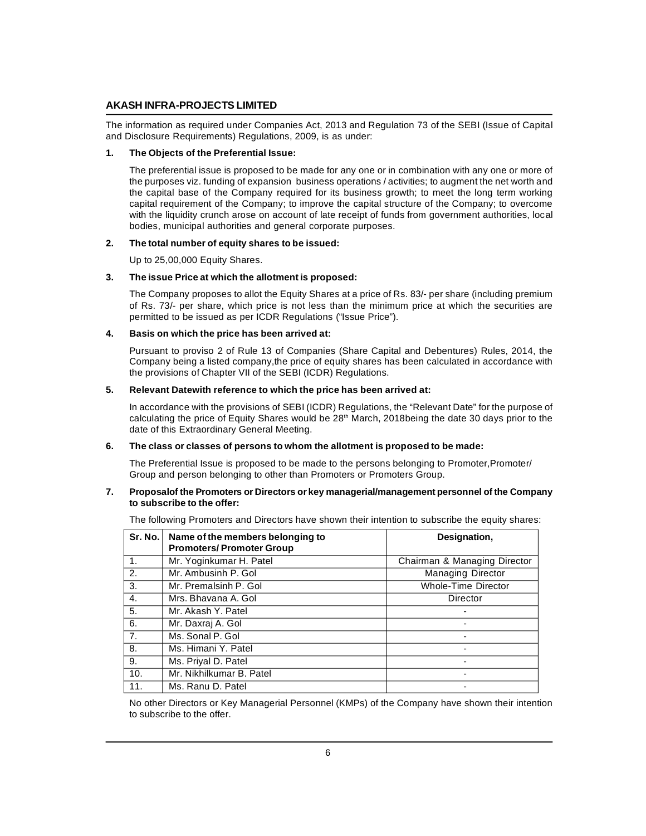The information as required under Companies Act, 2013 and Regulation 73 of the SEBI (Issue of Capital and Disclosure Requirements) Regulations, 2009, is as under:

#### **1. The Objects of the Preferential Issue:**

The preferential issue is proposed to be made for any one or in combination with any one or more of the purposes viz. funding of expansion business operations / activities; to augment the net worth and the capital base of the Company required for its business growth; to meet the long term working capital requirement of the Company; to improve the capital structure of the Company; to overcome with the liquidity crunch arose on account of late receipt of funds from government authorities, local bodies, municipal authorities and general corporate purposes.

## **2. The total number of equity shares to be issued:**

Up to 25,00,000 Equity Shares.

#### **3. The issue Price at which the allotment is proposed:**

The Company proposes to allot the Equity Shares at a price of Rs. 83/- per share (including premium of Rs. 73/- per share, which price is not less than the minimum price at which the securities are permitted to be issued as per ICDR Regulations ("Issue Price").

## **4. Basis on which the price has been arrived at:**

Pursuant to proviso 2 of Rule 13 of Companies (Share Capital and Debentures) Rules, 2014, the Company being a listed company,the price of equity shares has been calculated in accordance with the provisions of Chapter VII of the SEBI (ICDR) Regulations.

#### **5. Relevant Datewith reference to which the price has been arrived at:**

In accordance with the provisions of SEBI (ICDR) Regulations, the "Relevant Date" for the purpose of calculating the price of Equity Shares would be  $28<sup>th</sup>$  March, 2018being the date 30 days prior to the date of this Extraordinary General Meeting.

# **6. The class or classes of persons to whom the allotment is proposed to be made:**

The Preferential Issue is proposed to be made to the persons belonging to Promoter, Promoter/ Group and person belonging to other than Promoters or Promoters Group.

#### **7. Proposalof the Promoters or Directors or key managerial/management personnel of the Company to subscribe to the offer:**

The following Promoters and Directors have shown their intention to subscribe the equity shares:

| Sr. No.        | Name of the members belonging to<br><b>Promoters/Promoter Group</b> | Designation,                 |
|----------------|---------------------------------------------------------------------|------------------------------|
| 1.             | Mr. Yoginkumar H. Patel                                             | Chairman & Managing Director |
| 2.             | Mr. Ambusinh P. Gol                                                 | <b>Managing Director</b>     |
| 3.             | Mr. Premalsinh P. Gol                                               | <b>Whole-Time Director</b>   |
| 4.             | Mrs. Bhavana A. Gol                                                 | Director                     |
| 5.             | Mr. Akash Y. Patel                                                  |                              |
| 6.             | Mr. Daxraj A. Gol                                                   |                              |
| 7 <sub>1</sub> | Ms. Sonal P. Gol                                                    |                              |
| 8.             | Ms. Himani Y. Patel                                                 |                              |
| 9.             | Ms. Priyal D. Patel                                                 |                              |
| 10.            | Mr. Nikhilkumar B. Patel                                            |                              |
| 11.            | Ms. Ranu D. Patel                                                   |                              |

No other Directors or Key Managerial Personnel (KMPs) of the Company have shown their intention to subscribe to the offer.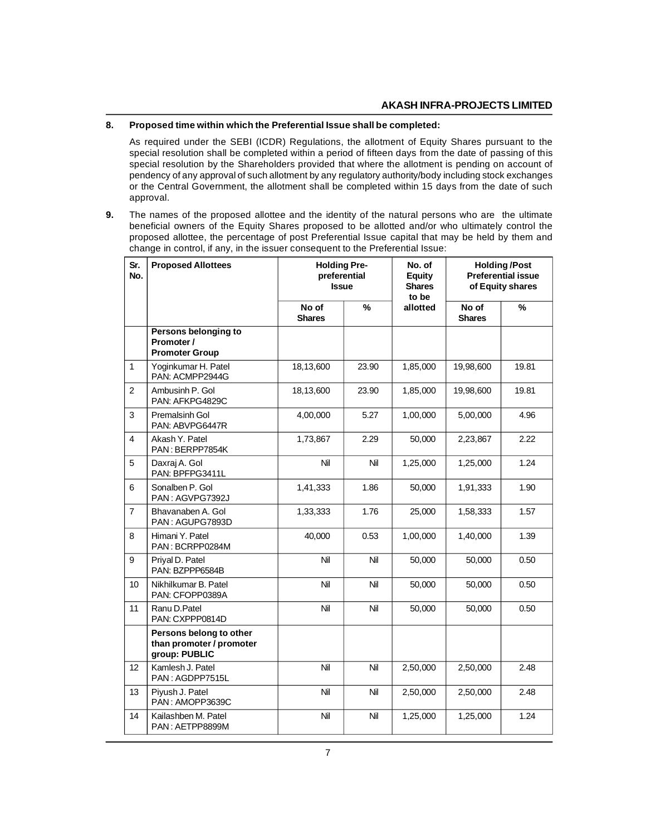#### **8. Proposed time within which the Preferential Issue shall be completed:**

As required under the SEBI (ICDR) Regulations, the allotment of Equity Shares pursuant to the special resolution shall be completed within a period of fifteen days from the date of passing of this special resolution by the Shareholders provided that where the allotment is pending on account of pendency of any approval of such allotment by any regulatory authority/body including stock exchanges or the Central Government, the allotment shall be completed within 15 days from the date of such approval.

**9.** The names of the proposed allottee and the identity of the natural persons who are the ultimate beneficial owners of the Equity Shares proposed to be allotted and/or who ultimately control the proposed allottee, the percentage of post Preferential Issue capital that may be held by them and change in control, if any, in the issuer consequent to the Preferential Issue:

| Sr.<br>No.     | <b>Proposed Allottees</b>                                            | <b>Holding Pre-</b><br>preferential<br><b>Issue</b> |               | No. of<br><b>Equity</b><br><b>Shares</b><br>to be | <b>Holding/Post</b><br><b>Preferential issue</b><br>of Equity shares |       |
|----------------|----------------------------------------------------------------------|-----------------------------------------------------|---------------|---------------------------------------------------|----------------------------------------------------------------------|-------|
|                |                                                                      | No of<br><b>Shares</b>                              | $\frac{9}{6}$ | allotted                                          | No of<br><b>Shares</b>                                               | %     |
|                | Persons belonging to<br>Promoter /<br><b>Promoter Group</b>          |                                                     |               |                                                   |                                                                      |       |
| 1              | Yoginkumar H. Patel<br>PAN: ACMPP2944G                               | 18,13,600                                           | 23.90         | 1,85,000                                          | 19,98,600                                                            | 19.81 |
| $\overline{2}$ | Ambusinh P. Gol<br>PAN: AFKPG4829C                                   | 18,13,600                                           | 23.90         | 1,85,000                                          | 19,98,600                                                            | 19.81 |
| 3              | Premalsinh Gol<br>PAN: ABVPG6447R                                    | 4,00,000                                            | 5.27          | 1,00,000                                          | 5,00,000                                                             | 4.96  |
| 4              | Akash Y. Patel<br>PAN: BERPP7854K                                    | 1,73,867                                            | 2.29          | 50,000                                            | 2,23,867                                                             | 2.22  |
| 5              | Daxraj A. Gol<br>PAN: BPFPG3411L                                     | Nil                                                 | Nil           | 1,25,000                                          | 1,25,000                                                             | 1.24  |
| 6              | Sonalben P. Gol<br>PAN: AGVPG7392J                                   | 1,41,333                                            | 1.86          | 50,000                                            | 1,91,333                                                             | 1.90  |
| $\overline{7}$ | Bhavanaben A. Gol<br>PAN: AGUPG7893D                                 | 1,33,333                                            | 1.76          | 25,000                                            | 1,58,333                                                             | 1.57  |
| 8              | Himani Y. Patel<br>PAN: BCRPP0284M                                   | 40,000                                              | 0.53          | 1,00,000                                          | 1,40,000                                                             | 1.39  |
| 9              | Prival D. Patel<br>PAN: BZPPP6584B                                   | Nil                                                 | Nil           | 50,000                                            | 50,000                                                               | 0.50  |
| 10             | Nikhilkumar B. Patel<br>PAN: CFOPP0389A                              | Nil                                                 | Nil           | 50,000                                            | 50,000                                                               | 0.50  |
| 11             | Ranu D.Patel<br>PAN: CXPPP0814D                                      | Nil                                                 | Nil           | 50,000                                            | 50,000                                                               | 0.50  |
|                | Persons belong to other<br>than promoter / promoter<br>group: PUBLIC |                                                     |               |                                                   |                                                                      |       |
| 12             | Kamlesh J. Patel<br>PAN: AGDPP7515L                                  | Nil                                                 | Nil           | 2,50,000                                          | 2,50,000                                                             | 2.48  |
| 13             | Piyush J. Patel<br>PAN: AMOPP3639C                                   | Nil                                                 | Nil           | 2,50,000                                          | 2,50,000                                                             | 2.48  |
| 14             | Kailashben M. Patel<br>PAN: AETPP8899M                               | Nil                                                 | Nil           | 1,25,000                                          | 1,25,000                                                             | 1.24  |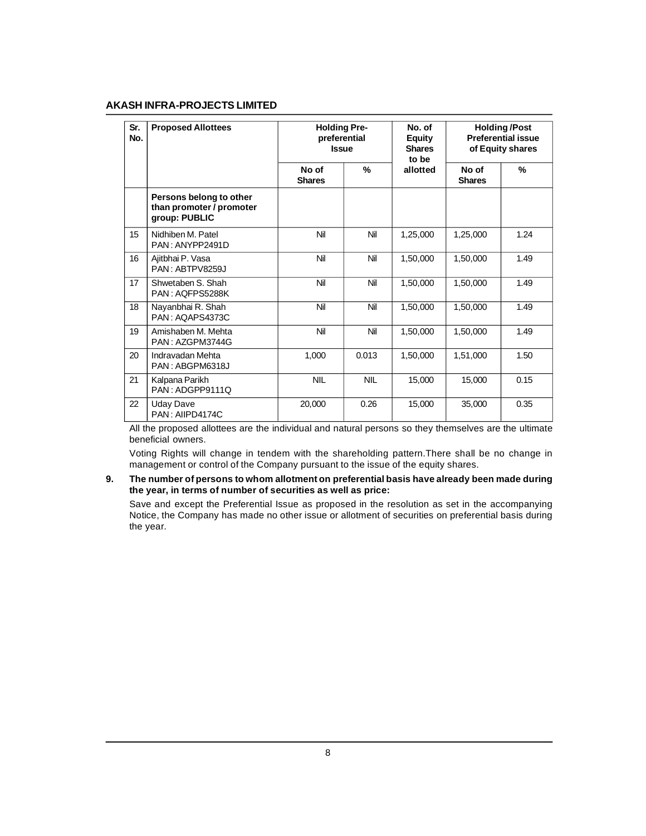| Sr.<br>No. | <b>Proposed Allottees</b>                                            |                        | <b>Holding Pre-</b><br>preferential<br><b>Issue</b> | No. of<br><b>Equity</b><br><b>Shares</b><br>to be | <b>Holding/Post</b><br><b>Preferential issue</b><br>of Equity shares |      |  |
|------------|----------------------------------------------------------------------|------------------------|-----------------------------------------------------|---------------------------------------------------|----------------------------------------------------------------------|------|--|
|            |                                                                      | No of<br><b>Shares</b> | %                                                   | allotted                                          | No of<br><b>Shares</b>                                               | %    |  |
|            | Persons belong to other<br>than promoter / promoter<br>group: PUBLIC |                        |                                                     |                                                   |                                                                      |      |  |
| 15         | Nidhiben M. Patel<br>PAN: ANYPP2491D                                 | Nil                    | Nil                                                 | 1,25,000                                          | 1,25,000                                                             | 1.24 |  |
| 16         | Ajitbhai P. Vasa<br>PAN: ABTPV8259J                                  | Nil                    | Nil                                                 | 1.50.000                                          | 1,50,000                                                             | 1.49 |  |
| 17         | Shwetaben S. Shah<br>PAN: AQFPS5288K                                 | Nil                    | Nil                                                 | 1,50,000                                          | 1,50,000                                                             | 1.49 |  |
| 18         | Nayanbhai R. Shah<br>PAN: AQAPS4373C                                 | Nil                    | Nil                                                 | 1,50,000                                          | 1,50,000                                                             | 1.49 |  |
| 19         | Amishaben M. Mehta<br>PAN: AZGPM3744G                                | Nil                    | Nil                                                 | 1,50,000                                          | 1,50,000                                                             | 1.49 |  |
| 20         | Indravadan Mehta<br>PAN: ABGPM6318J                                  | 1,000                  | 0.013                                               | 1,50,000                                          | 1,51,000                                                             | 1.50 |  |
| 21         | Kalpana Parikh<br>PAN: ADGPP9111Q                                    | <b>NIL</b>             | <b>NIL</b>                                          | 15,000                                            | 15,000                                                               | 0.15 |  |
| 22         | <b>Uday Dave</b><br>PAN: AIIPD4174C                                  | 20,000                 | 0.26                                                | 15,000                                            | 35,000                                                               | 0.35 |  |

All the proposed allottees are the individual and natural persons so they themselves are the ultimate beneficial owners.

Voting Rights will change in tendem with the shareholding pattern.There shall be no change in management or control of the Company pursuant to the issue of the equity shares.

**9. The number of persons to whom allotment on preferential basis have already been made during the year, in terms of number of securities as well as price:**

Save and except the Preferential Issue as proposed in the resolution as set in the accompanying Notice, the Company has made no other issue or allotment of securities on preferential basis during the year.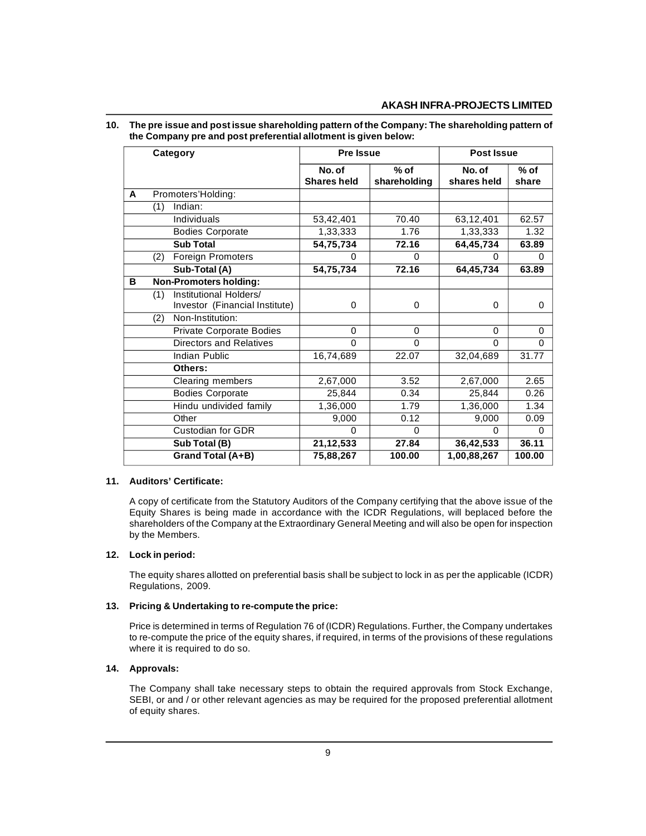## **10. The pre issue and post issue shareholding pattern of the Company: The shareholding pattern of the Company pre and post preferential allotment is given below:**

| Category |     | <b>Pre Issue</b>               |                    | <b>Post Issue</b> |             |          |
|----------|-----|--------------------------------|--------------------|-------------------|-------------|----------|
|          |     |                                | No. of             | $%$ of            | No. of      | $%$ of   |
|          |     |                                | <b>Shares held</b> | shareholding      | shares held | share    |
| A        |     | Promoters'Holding:             |                    |                   |             |          |
|          | (1) | Indian:                        |                    |                   |             |          |
|          |     | Individuals                    | 53,42,401          | 70.40             | 63,12,401   | 62.57    |
|          |     | <b>Bodies Corporate</b>        | 1,33,333           | 1.76              | 1,33,333    | 1.32     |
|          |     | <b>Sub Total</b>               | 54,75,734          | 72.16             | 64,45,734   | 63.89    |
|          | (2) | Foreign Promoters              | 0                  | 0                 | $\Omega$    | 0        |
|          |     | Sub-Total (A)                  | 54,75,734          | 72.16             | 64,45,734   | 63.89    |
| в        |     | <b>Non-Promoters holding:</b>  |                    |                   |             |          |
|          | (1) | Institutional Holders/         |                    |                   |             |          |
|          |     | Investor (Financial Institute) | 0                  | 0                 | $\Omega$    | 0        |
|          | (2) | Non-Institution:               |                    |                   |             |          |
|          |     | Private Corporate Bodies       | 0                  | 0                 | $\Omega$    | 0        |
|          |     | Directors and Relatives        | $\Omega$           | $\Omega$          | $\Omega$    | $\Omega$ |
|          |     | Indian Public                  | 16,74,689          | 22.07             | 32,04,689   | 31.77    |
|          |     | Others:                        |                    |                   |             |          |
|          |     | Clearing members               | 2,67,000           | $\overline{3.52}$ | 2,67,000    | 2.65     |
|          |     | <b>Bodies Corporate</b>        | 25,844             | 0.34              | 25,844      | 0.26     |
|          |     | Hindu undivided family         | 1,36,000           | 1.79              | 1,36,000    | 1.34     |
|          |     | Other                          | 9,000              | 0.12              | 9,000       | 0.09     |
|          |     | <b>Custodian for GDR</b>       | $\Omega$           | $\Omega$          | $\Omega$    | $\Omega$ |
|          |     | Sub Total (B)                  | 21,12,533          | 27.84             | 36,42,533   | 36.11    |
|          |     | Grand Total (A+B)              | 75,88,267          | 100.00            | 1,00,88,267 | 100.00   |

## **11. Auditors' Certificate:**

A copy of certificate from the Statutory Auditors of the Company certifying that the above issue of the Equity Shares is being made in accordance with the ICDR Regulations, will beplaced before the shareholders of the Company at the Extraordinary General Meeting and will also be open for inspection by the Members.

## **12. Lock in period:**

The equity shares allotted on preferential basis shall be subject to lock in as per the applicable (ICDR) Regulations, 2009.

# **13. Pricing & Undertaking to re-compute the price:**

Price is determined in terms of Regulation 76 of (ICDR) Regulations. Further, the Company undertakes to re-compute the price of the equity shares, if required, in terms of the provisions of these regulations where it is required to do so.

## **14. Approvals:**

The Company shall take necessary steps to obtain the required approvals from Stock Exchange, SEBI, or and / or other relevant agencies as may be required for the proposed preferential allotment of equity shares.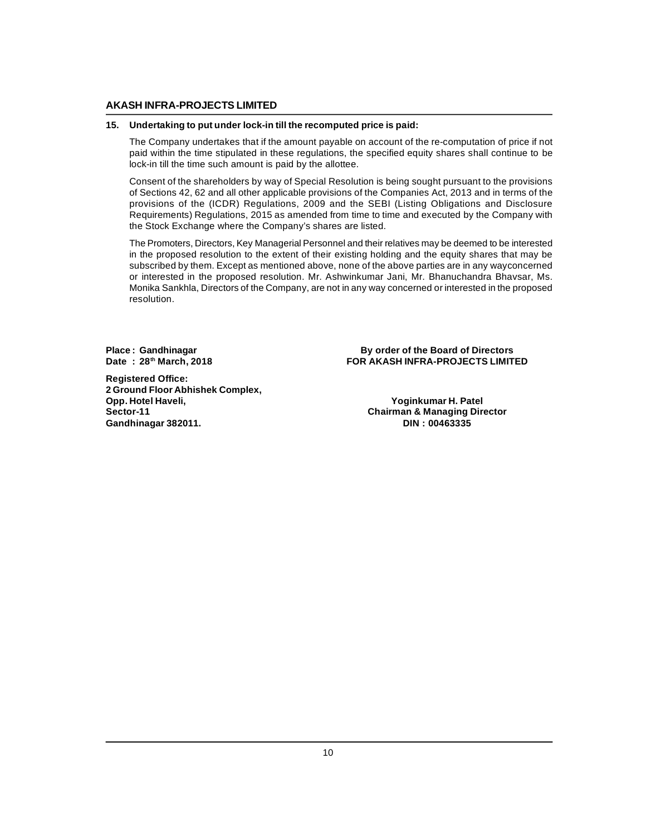#### **15. Undertaking to put under lock-in till the recomputed price is paid:**

The Company undertakes that if the amount payable on account of the re-computation of price if not paid within the time stipulated in these regulations, the specified equity shares shall continue to be lock-in till the time such amount is paid by the allottee.

Consent of the shareholders by way of Special Resolution is being sought pursuant to the provisions of Sections 42, 62 and all other applicable provisions of the Companies Act, 2013 and in terms of the provisions of the (ICDR) Regulations, 2009 and the SEBI (Listing Obligations and Disclosure Requirements) Regulations, 2015 as amended from time to time and executed by the Company with the Stock Exchange where the Company's shares are listed.

The Promoters, Directors, Key Managerial Personnel and their relatives may be deemed to be interested in the proposed resolution to the extent of their existing holding and the equity shares that may be subscribed by them. Except as mentioned above, none of the above parties are in any wayconcerned or interested in the proposed resolution. Mr. Ashwinkumar Jani, Mr. Bhanuchandra Bhavsar, Ms. Monika Sankhla, Directors of the Company, are not in any way concerned or interested in the proposed resolution.

**Registered Office: 2 Ground Floor Abhishek Complex, Opp. Hotel Haveli, Yoginkumar H. Patel**  $Gandhinagar 382011.$ 

**Place : Gandhinagar By order of the Board of Directors EOR AKASH INFRA-PROJECTS LIMITED** 

**Sector-11 Chairman & Managing Director**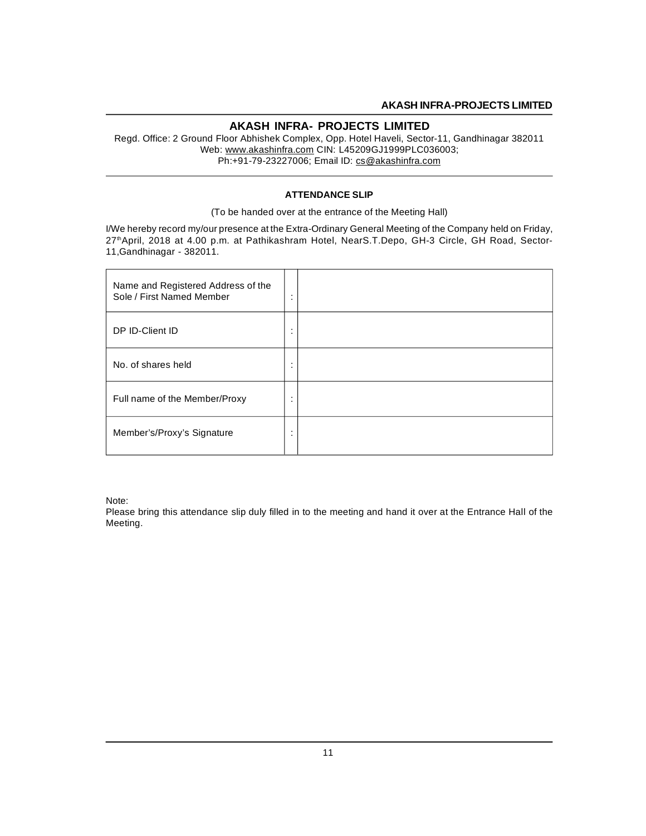Regd. Office: 2 Ground Floor Abhishek Complex, Opp. Hotel Haveli, Sector-11, Gandhinagar 382011 Web: www.akashinfra.com CIN: L45209GJ1999PLC036003; Ph:+91-79-23227006; Email ID: cs@akashinfra.com

#### **ATTENDANCE SLIP**

(To be handed over at the entrance of the Meeting Hall)

I/We hereby record my/our presence at the Extra-Ordinary General Meeting of the Company held on Friday, 27<sup>th</sup>April, 2018 at 4.00 p.m. at Pathikashram Hotel, NearS.T.Depo, GH-3 Circle, GH Road, Sector-11,Gandhinagar - 382011.

| Name and Registered Address of the<br>Sole / First Named Member | $\bullet$<br>$\cdot$ |  |
|-----------------------------------------------------------------|----------------------|--|
| DP ID-Client ID                                                 | $\bullet$<br>$\cdot$ |  |
| No. of shares held                                              | $\cdot$<br>$\cdot$   |  |
| Full name of the Member/Proxy                                   | $\cdot$<br>$\cdot$   |  |
| Member's/Proxy's Signature                                      | $\bullet$<br>$\cdot$ |  |

Note:

Please bring this attendance slip duly filled in to the meeting and hand it over at the Entrance Hall of the Meeting.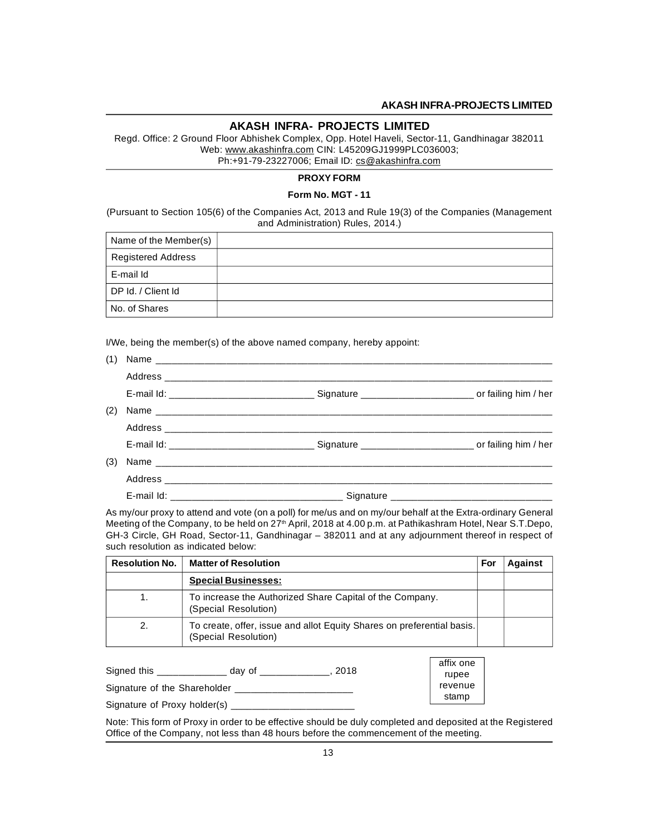#### **AKASH INFRA- PROJECTS LIMITED**

Regd. Office: 2 Ground Floor Abhishek Complex, Opp. Hotel Haveli, Sector-11, Gandhinagar 382011 Web: www.akashinfra.com CIN: L45209GJ1999PLC036003; Ph:+91-79-23227006; Email ID: cs@akashinfra.com

#### **PROXY FORM**

#### **Form No. MGT - 11**

(Pursuant to Section 105(6) of the Companies Act, 2013 and Rule 19(3) of the Companies (Management and Administration) Rules, 2014.)

| Name of the Member(s)     |  |
|---------------------------|--|
| <b>Registered Address</b> |  |
| E-mail Id                 |  |
| DP Id. / Client Id        |  |
| No. of Shares             |  |

I/We, being the member(s) of the above named company, hereby appoint:

| (1) |  |  |
|-----|--|--|
|     |  |  |
|     |  |  |
| (2) |  |  |
|     |  |  |
|     |  |  |
| (3) |  |  |
|     |  |  |
|     |  |  |

As my/our proxy to attend and vote (on a poll) for me/us and on my/our behalf at the Extra-ordinary General Meeting of the Company, to be held on 27<sup>th</sup> April, 2018 at 4.00 p.m. at Pathikashram Hotel, Near S.T.Depo, GH-3 Circle, GH Road, Sector-11, Gandhinagar – 382011 and at any adjournment thereof in respect of such resolution as indicated below:

| <b>Resolution No.</b> | <b>Matter of Resolution</b>                                                                    | For | <b>Against</b> |
|-----------------------|------------------------------------------------------------------------------------------------|-----|----------------|
|                       | <b>Special Businesses:</b>                                                                     |     |                |
| 1.                    | To increase the Authorized Share Capital of the Company.<br>(Special Resolution)               |     |                |
| 2.                    | To create, offer, issue and allot Equity Shares on preferential basis.<br>(Special Resolution) |     |                |

| Signed this                  | 2018<br>dav of | affix one<br>rupee |
|------------------------------|----------------|--------------------|
| Signature of the Shareholder |                | revenue            |
| Signature of Proxy holder(s) |                | stamp              |

Note: This form of Proxy in order to be effective should be duly completed and deposited at the Registered Office of the Company, not less than 48 hours before the commencement of the meeting.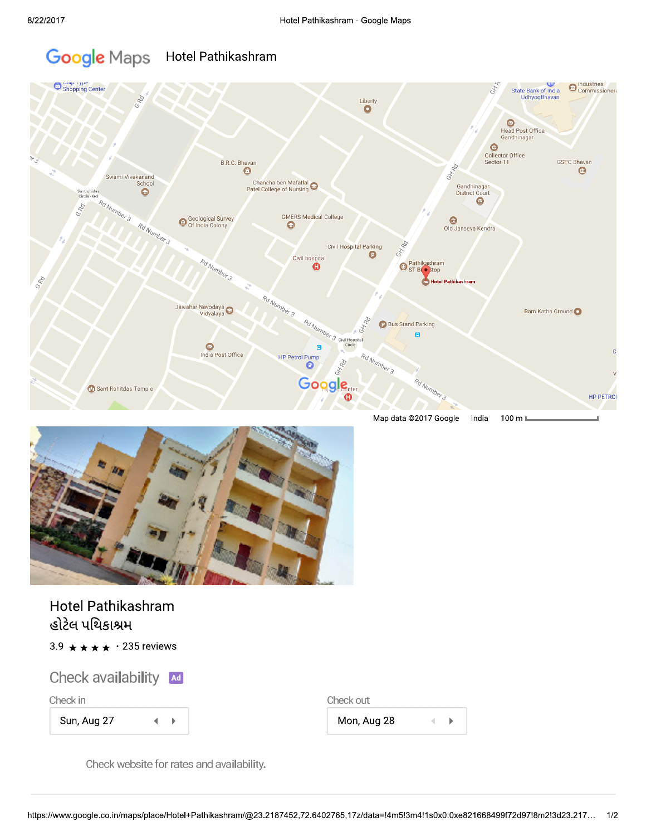